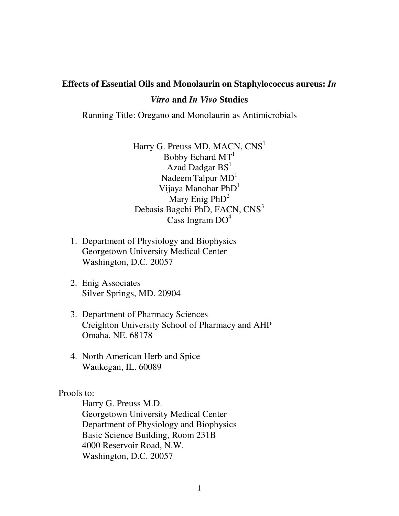# **Effects of Essential Oils and Monolaurin on Staphylococcus aureus:** *In Vitro* **and** *In Vivo* **Studies**

Running Title: Oregano and Monolaurin as Antimicrobials

Harry G. Preuss MD, MACN,  $CNS<sup>1</sup>$ Bobby Echard MT 1 Azad Dadgar BS<sup>1</sup> Nadeem Talpur MD<sup>1</sup> Vijaya Manohar PhD<sup>1</sup> Mary Enig PhD<sup>2</sup> Debasis Bagchi PhD, FACN, CNS<sup>3</sup> Cass Ingram DO<sup>4</sup>

- 1. Department of Physiology and Biophysics Georgetown University Medical Center Washington, D.C. 20057
- 2. Enig Associates Silver Springs, MD. 20904
- 3. Department of Pharmacy Sciences Creighton University School of Pharmacy and AHP Omaha, NE. 68178
- 4. North American Herb and Spice Waukegan, IL. 60089

## Proofs to:

Harry G. Preuss M.D. Georgetown University Medical Center Department of Physiology and Biophysics Basic Science Building, Room 231B 4000 Reservoir Road, N.W. Washington, D.C. 20057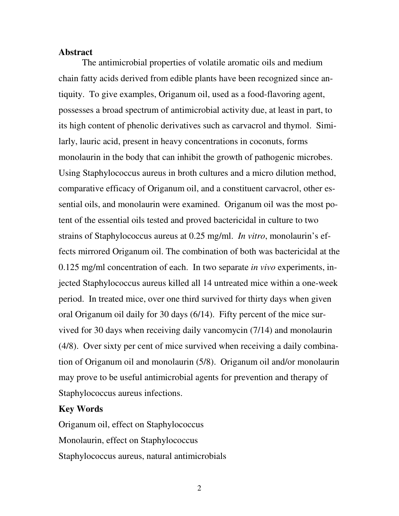#### **Abstract**

The antimicrobial properties of volatile aromatic oils and medium chain fatty acids derived from edible plants have been recognized since antiquity. To give examples, Origanum oil, used as a food-flavoring agent, possesses a broad spectrum of antimicrobial activity due, at least in part, to its high content of phenolic derivatives such as carvacrol and thymol. Similarly, lauric acid, present in heavy concentrations in coconuts, forms monolaurin in the body that can inhibit the growth of pathogenic microbes. Using Staphylococcus aureus in broth cultures and a micro dilution method, comparative efficacy of Origanum oil, and a constituent carvacrol, other essential oils, and monolaurin were examined. Origanum oil was the most potent of the essential oils tested and proved bactericidal in culture to two strains of Staphylococcus aureus at 0.25 mg/ml. *In vitro*, monolaurin's effects mirrored Origanum oil. The combination of both was bactericidal at the 0.125 mg/ml concentration of each. In two separate *in vivo* experiments, injected Staphylococcus aureus killed all 14 untreated mice within a one-week period. In treated mice, over one third survived for thirty days when given oral Origanum oil daily for 30 days (6/14). Fifty percent of the mice survived for 30 days when receiving daily vancomycin (7/14) and monolaurin (4/8). Over sixty per cent of mice survived when receiving a daily combination of Origanum oil and monolaurin (5/8). Origanum oil and/or monolaurin may prove to be useful antimicrobial agents for prevention and therapy of Staphylococcus aureus infections.

## **Key Words**

Origanum oil, effect on Staphylococcus Monolaurin, effect on Staphylococcus Staphylococcus aureus, natural antimicrobials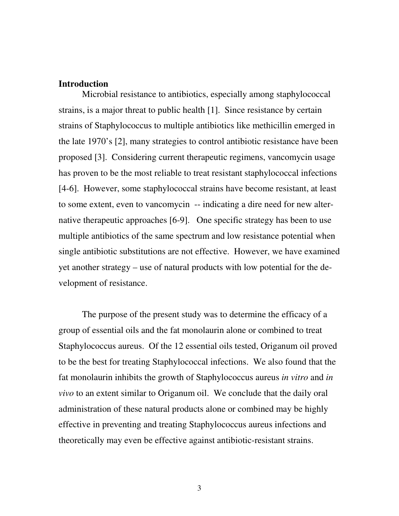## **Introduction**

Microbial resistance to antibiotics, especially among staphylococcal strains, is a major threat to public health [1]. Since resistance by certain strains of Staphylococcus to multiple antibiotics like methicillin emerged in the late 1970's [2], many strategies to control antibiotic resistance have been proposed [3]. Considering current therapeutic regimens, vancomycin usage has proven to be the most reliable to treat resistant staphylococcal infections [4-6]. However, some staphylococcal strains have become resistant, at least to some extent, even to vancomycin -- indicating a dire need for new alternative therapeutic approaches [6-9]. One specific strategy has been to use multiple antibiotics of the same spectrum and low resistance potential when single antibiotic substitutions are not effective. However, we have examined yet another strategy – use of natural products with low potential for the development of resistance.

The purpose of the present study was to determine the efficacy of a group of essential oils and the fat monolaurin alone or combined to treat Staphylococcus aureus. Of the 12 essential oils tested, Origanum oil proved to be the best for treating Staphylococcal infections. We also found that the fat monolaurin inhibits the growth of Staphylococcus aureus *in vitro* and *in vivo* to an extent similar to Origanum oil. We conclude that the daily oral administration of these natural products alone or combined may be highly effective in preventing and treating Staphylococcus aureus infections and theoretically may even be effective against antibiotic-resistant strains.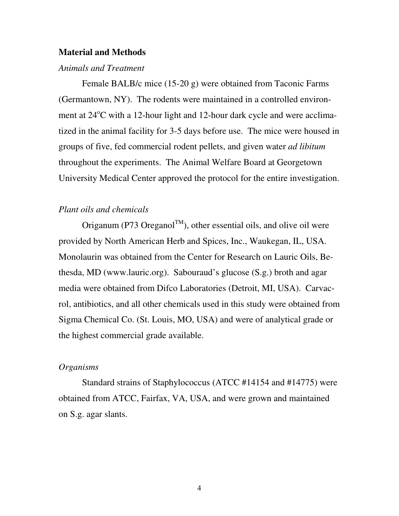#### **Material and Methods**

#### *Animals and Treatment*

Female BALB/c mice (15-20 g) were obtained from Taconic Farms (Germantown, NY). The rodents were maintained in a controlled environment at 24°C with a 12-hour light and 12-hour dark cycle and were acclimatized in the animal facility for 3-5 days before use. The mice were housed in groups of five, fed commercial rodent pellets, and given water *ad libitum* throughout the experiments. The Animal Welfare Board at Georgetown University Medical Center approved the protocol for the entire investigation.

## *Plant oils and chemicals*

Origanum (P73 Oreganol<sup>TM</sup>), other essential oils, and olive oil were provided by North American Herb and Spices, Inc., Waukegan, IL, USA. Monolaurin was obtained from the Center for Research on Lauric Oils, Bethesda, MD (www.lauric.org). Sabouraud's glucose (S.g.) broth and agar media were obtained from Difco Laboratories (Detroit, MI, USA). Carvacrol, antibiotics, and all other chemicals used in this study were obtained from Sigma Chemical Co. (St. Louis, MO, USA) and were of analytical grade or the highest commercial grade available.

#### *Organisms*

Standard strains of Staphylococcus (ATCC #14154 and #14775) were obtained from ATCC, Fairfax, VA, USA, and were grown and maintained on S.g. agar slants.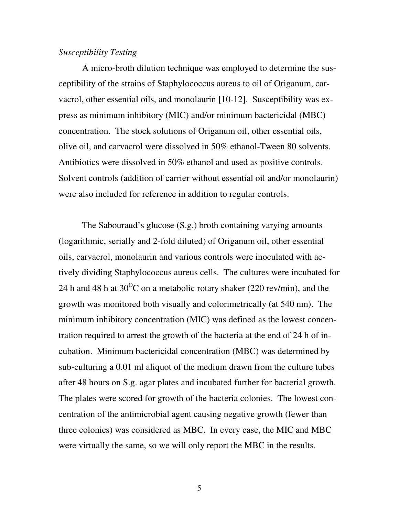#### *Susceptibility Testing*

A micro-broth dilution technique was employed to determine the susceptibility of the strains of Staphylococcus aureus to oil of Origanum, carvacrol, other essential oils, and monolaurin [10-12]. Susceptibility was express as minimum inhibitory (MIC) and/or minimum bactericidal (MBC) concentration. The stock solutions of Origanum oil, other essential oils, olive oil, and carvacrol were dissolved in 50% ethanol-Tween 80 solvents. Antibiotics were dissolved in 50% ethanol and used as positive controls. Solvent controls (addition of carrier without essential oil and/or monolaurin) were also included for reference in addition to regular controls.

The Sabouraud's glucose (S.g.) broth containing varying amounts (logarithmic, serially and 2-fold diluted) of Origanum oil, other essential oils, carvacrol, monolaurin and various controls were inoculated with actively dividing Staphylococcus aureus cells. The cultures were incubated for 24 h and 48 h at 30<sup>o</sup>C on a metabolic rotary shaker (220 rev/min), and the growth was monitored both visually and colorimetrically (at 540 nm). The minimum inhibitory concentration (MIC) was defined as the lowest concentration required to arrest the growth of the bacteria at the end of 24 h of incubation. Minimum bactericidal concentration (MBC) was determined by sub-culturing a 0.01 ml aliquot of the medium drawn from the culture tubes after 48 hours on S.g. agar plates and incubated further for bacterial growth. The plates were scored for growth of the bacteria colonies. The lowest concentration of the antimicrobial agent causing negative growth (fewer than three colonies) was considered as MBC. In every case, the MIC and MBC were virtually the same, so we will only report the MBC in the results.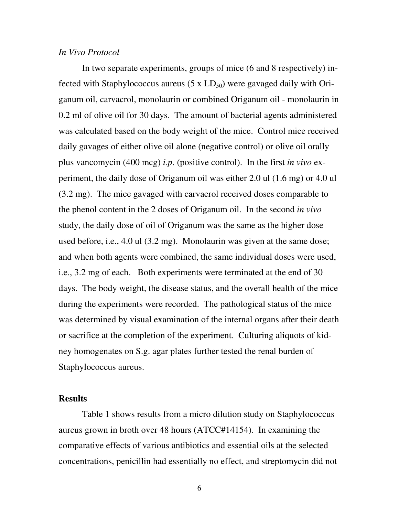#### *In Vivo Protocol*

In two separate experiments, groups of mice (6 and 8 respectively) infected with Staphylococcus aureus  $(5 \times LD_{50})$  were gavaged daily with Origanum oil, carvacrol, monolaurin or combined Origanum oil - monolaurin in 0.2 ml of olive oil for 30 days. The amount of bacterial agents administered was calculated based on the body weight of the mice. Control mice received daily gavages of either olive oil alone (negative control) or olive oil orally plus vancomycin (400 mcg) *i.p*. (positive control). In the first *in vivo* experiment, the daily dose of Origanum oil was either 2.0 ul (1.6 mg) or 4.0 ul (3.2 mg). The mice gavaged with carvacrol received doses comparable to the phenol content in the 2 doses of Origanum oil. In the second *in vivo* study, the daily dose of oil of Origanum was the same as the higher dose used before, i.e., 4.0 ul (3.2 mg). Monolaurin was given at the same dose; and when both agents were combined, the same individual doses were used, i.e., 3.2 mg of each. Both experiments were terminated at the end of 30 days. The body weight, the disease status, and the overall health of the mice during the experiments were recorded. The pathological status of the mice was determined by visual examination of the internal organs after their death or sacrifice at the completion of the experiment. Culturing aliquots of kidney homogenates on S.g. agar plates further tested the renal burden of Staphylococcus aureus.

## **Results**

Table 1 shows results from a micro dilution study on Staphylococcus aureus grown in broth over 48 hours (ATCC#14154). In examining the comparative effects of various antibiotics and essential oils at the selected concentrations, penicillin had essentially no effect, and streptomycin did not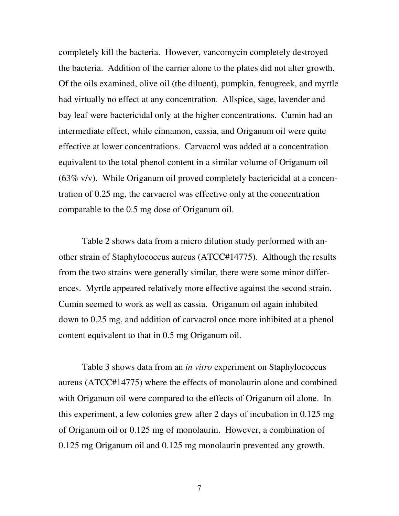completely kill the bacteria. However, vancomycin completely destroyed the bacteria. Addition of the carrier alone to the plates did not alter growth. Of the oils examined, olive oil (the diluent), pumpkin, fenugreek, and myrtle had virtually no effect at any concentration. Allspice, sage, lavender and bay leaf were bactericidal only at the higher concentrations. Cumin had an intermediate effect, while cinnamon, cassia, and Origanum oil were quite effective at lower concentrations. Carvacrol was added at a concentration equivalent to the total phenol content in a similar volume of Origanum oil (63% v/v). While Origanum oil proved completely bactericidal at a concentration of 0.25 mg, the carvacrol was effective only at the concentration comparable to the 0.5 mg dose of Origanum oil.

Table 2 shows data from a micro dilution study performed with another strain of Staphylococcus aureus (ATCC#14775). Although the results from the two strains were generally similar, there were some minor differences. Myrtle appeared relatively more effective against the second strain. Cumin seemed to work as well as cassia. Origanum oil again inhibited down to 0.25 mg, and addition of carvacrol once more inhibited at a phenol content equivalent to that in 0.5 mg Origanum oil.

Table 3 shows data from an *in vitro* experiment on Staphylococcus aureus (ATCC#14775) where the effects of monolaurin alone and combined with Origanum oil were compared to the effects of Origanum oil alone. In this experiment, a few colonies grew after 2 days of incubation in 0.125 mg of Origanum oil or 0.125 mg of monolaurin. However, a combination of 0.125 mg Origanum oil and 0.125 mg monolaurin prevented any growth.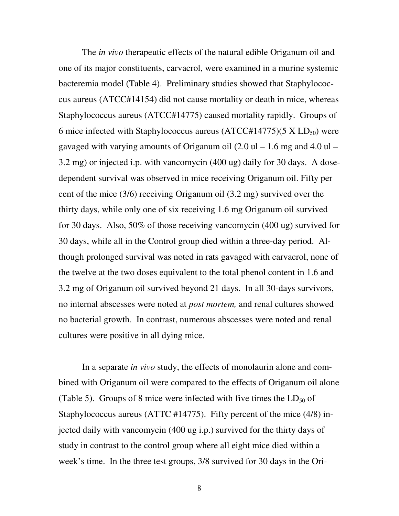The *in vivo* therapeutic effects of the natural edible Origanum oil and one of its major constituents, carvacrol, were examined in a murine systemic bacteremia model (Table 4). Preliminary studies showed that Staphylococcus aureus (ATCC#14154) did not cause mortality or death in mice, whereas Staphylococcus aureus (ATCC#14775) caused mortality rapidly. Groups of 6 mice infected with Staphylococcus aureus  $(ATCC#14775)(5 \times LD_{50})$  were gavaged with varying amounts of Origanum oil  $(2.0 \text{ ul} - 1.6 \text{ mg and } 4.0 \text{ ul} -$ 3.2 mg) or injected i.p. with vancomycin (400 ug) daily for 30 days. A dosedependent survival was observed in mice receiving Origanum oil. Fifty per cent of the mice (3/6) receiving Origanum oil (3.2 mg) survived over the thirty days, while only one of six receiving 1.6 mg Origanum oil survived for 30 days. Also, 50% of those receiving vancomycin (400 ug) survived for 30 days, while all in the Control group died within a three-day period. Although prolonged survival was noted in rats gavaged with carvacrol, none of the twelve at the two doses equivalent to the total phenol content in 1.6 and 3.2 mg of Origanum oil survived beyond 21 days. In all 30-days survivors, no internal abscesses were noted at *post mortem,* and renal cultures showed no bacterial growth. In contrast, numerous abscesses were noted and renal cultures were positive in all dying mice.

In a separate *in vivo* study, the effects of monolaurin alone and combined with Origanum oil were compared to the effects of Origanum oil alone (Table 5). Groups of 8 mice were infected with five times the  $LD_{50}$  of Staphylococcus aureus (ATTC #14775). Fifty percent of the mice (4/8) injected daily with vancomycin (400 ug i.p.) survived for the thirty days of study in contrast to the control group where all eight mice died within a week's time. In the three test groups, 3/8 survived for 30 days in the Ori-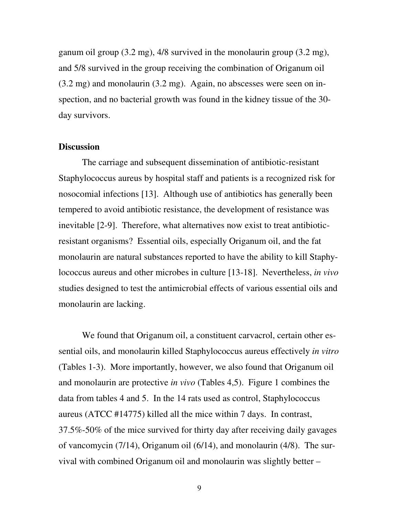ganum oil group (3.2 mg), 4/8 survived in the monolaurin group (3.2 mg), and 5/8 survived in the group receiving the combination of Origanum oil (3.2 mg) and monolaurin (3.2 mg). Again, no abscesses were seen on inspection, and no bacterial growth was found in the kidney tissue of the 30 day survivors.

#### **Discussion**

The carriage and subsequent dissemination of antibiotic-resistant Staphylococcus aureus by hospital staff and patients is a recognized risk for nosocomial infections [13]. Although use of antibiotics has generally been tempered to avoid antibiotic resistance, the development of resistance was inevitable [2-9]. Therefore, what alternatives now exist to treat antibioticresistant organisms? Essential oils, especially Origanum oil, and the fat monolaurin are natural substances reported to have the ability to kill Staphylococcus aureus and other microbes in culture [13-18]. Nevertheless, *in vivo* studies designed to test the antimicrobial effects of various essential oils and monolaurin are lacking.

We found that Origanum oil, a constituent carvacrol, certain other essential oils, and monolaurin killed Staphylococcus aureus effectively *in vitro* (Tables 1-3). More importantly, however, we also found that Origanum oil and monolaurin are protective *in vivo* (Tables 4,5). Figure 1 combines the data from tables 4 and 5. In the 14 rats used as control, Staphylococcus aureus (ATCC #14775) killed all the mice within 7 days. In contrast, 37.5%-50% of the mice survived for thirty day after receiving daily gavages of vancomycin (7/14), Origanum oil (6/14), and monolaurin (4/8). The survival with combined Origanum oil and monolaurin was slightly better –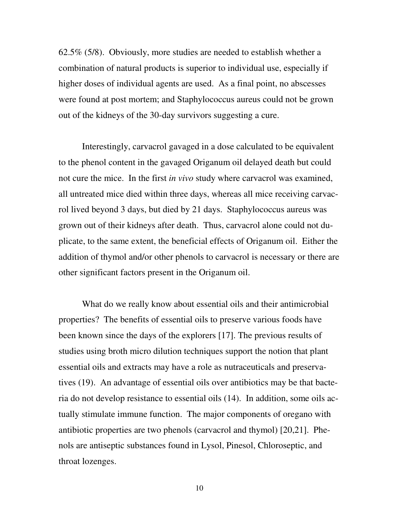62.5% (5/8). Obviously, more studies are needed to establish whether a combination of natural products is superior to individual use, especially if higher doses of individual agents are used. As a final point, no abscesses were found at post mortem; and Staphylococcus aureus could not be grown out of the kidneys of the 30-day survivors suggesting a cure.

Interestingly, carvacrol gavaged in a dose calculated to be equivalent to the phenol content in the gavaged Origanum oil delayed death but could not cure the mice. In the first *in vivo* study where carvacrol was examined, all untreated mice died within three days, whereas all mice receiving carvacrol lived beyond 3 days, but died by 21 days. Staphylococcus aureus was grown out of their kidneys after death. Thus, carvacrol alone could not duplicate, to the same extent, the beneficial effects of Origanum oil. Either the addition of thymol and/or other phenols to carvacrol is necessary or there are other significant factors present in the Origanum oil.

What do we really know about essential oils and their antimicrobial properties? The benefits of essential oils to preserve various foods have been known since the days of the explorers [17]. The previous results of studies using broth micro dilution techniques support the notion that plant essential oils and extracts may have a role as nutraceuticals and preservatives (19). An advantage of essential oils over antibiotics may be that bacteria do not develop resistance to essential oils (14). In addition, some oils actually stimulate immune function. The major components of oregano with antibiotic properties are two phenols (carvacrol and thymol) [20,21]. Phenols are antiseptic substances found in Lysol, Pinesol, Chloroseptic, and throat lozenges.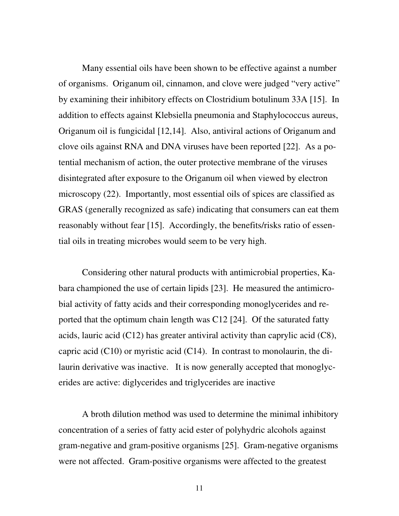Many essential oils have been shown to be effective against a number of organisms. Origanum oil, cinnamon, and clove were judged "very active" by examining their inhibitory effects on Clostridium botulinum 33A [15]. In addition to effects against Klebsiella pneumonia and Staphylococcus aureus, Origanum oil is fungicidal [12,14]. Also, antiviral actions of Origanum and clove oils against RNA and DNA viruses have been reported [22]. As a potential mechanism of action, the outer protective membrane of the viruses disintegrated after exposure to the Origanum oil when viewed by electron microscopy (22). Importantly, most essential oils of spices are classified as GRAS (generally recognized as safe) indicating that consumers can eat them reasonably without fear [15]. Accordingly, the benefits/risks ratio of essential oils in treating microbes would seem to be very high.

Considering other natural products with antimicrobial properties, Kabara championed the use of certain lipids [23]. He measured the antimicrobial activity of fatty acids and their corresponding monoglycerides and reported that the optimum chain length was C12 [24]. Of the saturated fatty acids, lauric acid (C12) has greater antiviral activity than caprylic acid (C8), capric acid  $(C10)$  or myristic acid  $(C14)$ . In contrast to monolaurin, the dilaurin derivative was inactive. It is now generally accepted that monoglycerides are active: diglycerides and triglycerides are inactive

A broth dilution method was used to determine the minimal inhibitory concentration of a series of fatty acid ester of polyhydric alcohols against gram-negative and gram-positive organisms [25]. Gram-negative organisms were not affected. Gram-positive organisms were affected to the greatest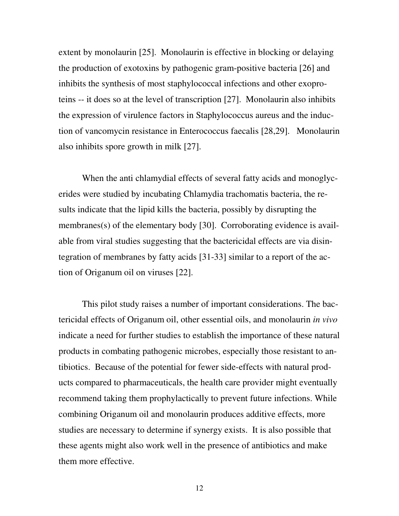extent by monolaurin [25]. Monolaurin is effective in blocking or delaying the production of exotoxins by pathogenic gram-positive bacteria [26] and inhibits the synthesis of most staphylococcal infections and other exoproteins -- it does so at the level of transcription [27]. Monolaurin also inhibits the expression of virulence factors in Staphylococcus aureus and the induction of vancomycin resistance in Enterococcus faecalis [28,29]. Monolaurin also inhibits spore growth in milk [27].

When the anti chlamydial effects of several fatty acids and monoglycerides were studied by incubating Chlamydia trachomatis bacteria, the results indicate that the lipid kills the bacteria, possibly by disrupting the membranes(s) of the elementary body [30]. Corroborating evidence is available from viral studies suggesting that the bactericidal effects are via disintegration of membranes by fatty acids [31-33] similar to a report of the action of Origanum oil on viruses [22].

This pilot study raises a number of important considerations. The bactericidal effects of Origanum oil, other essential oils, and monolaurin *in vivo* indicate a need for further studies to establish the importance of these natural products in combating pathogenic microbes, especially those resistant to antibiotics. Because of the potential for fewer side-effects with natural products compared to pharmaceuticals, the health care provider might eventually recommend taking them prophylactically to prevent future infections. While combining Origanum oil and monolaurin produces additive effects, more studies are necessary to determine if synergy exists. It is also possible that these agents might also work well in the presence of antibiotics and make them more effective.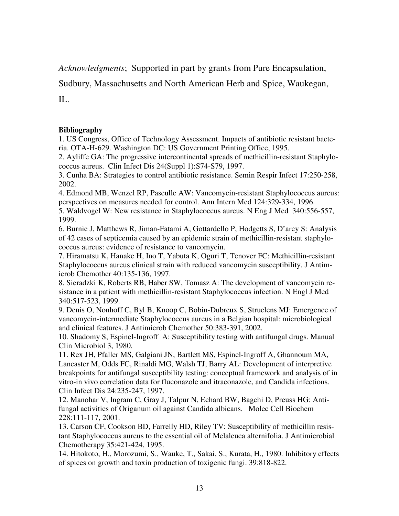*Acknowledgments*; Supported in part by grants from Pure Encapsulation,

Sudbury, Massachusetts and North American Herb and Spice, Waukegan,

IL.

## **Bibliography**

1. US Congress, Office of Technology Assessment. Impacts of antibiotic resistant bacteria. OTA-H-629. Washington DC: US Government Printing Office, 1995.

2. Ayliffe GA: The progressive intercontinental spreads of methicillin-resistant Staphylococcus aureus. Clin Infect Dis 24(Suppl 1):S74-S79, 1997.

3. Cunha BA: Strategies to control antibiotic resistance. Semin Respir Infect 17:250-258, 2002.

4. Edmond MB, Wenzel RP, Pasculle AW: Vancomycin-resistant Staphylococcus aureus: perspectives on measures needed for control. Ann Intern Med 124:329-334, 1996.

5. Waldvogel W: New resistance in Staphylococcus aureus. N Eng J Med 340:556-557, 1999.

6. Burnie J, Matthews R, Jiman-Fatami A, Gottardello P, Hodgetts S, D'arcy S: Analysis of 42 cases of septicemia caused by an epidemic strain of methicillin-resistant staphylococcus aureus: evidence of resistance to vancomycin.

7. Hiramatsu K, Hanake H, Ino T, Yabuta K, Oguri T, Tenover FC: Methicillin-resistant Staphylococcus aureus clinical strain with reduced vancomycin susceptibility. J Antimicrob Chemother 40:135-136, 1997.

8. Sieradzki K, Roberts RB, Haber SW, Tomasz A: The development of vancomycin resistance in a patient with methicillin-resistant Staphylococcus infection. N Engl J Med 340:517-523, 1999.

9. Denis O, Nonhoff C, Byl B, Knoop C, Bobin-Dubreux S, Struelens MJ: Emergence of vancomycin-intermediate Staphylococcus aureus in a Belgian hospital: microbiological and clinical features. J Antimicrob Chemother 50:383-391, 2002.

10. Shadomy S, Espinel-Ingroff A: Susceptibility testing with antifungal drugs. Manual Clin Microbiol 3, 1980.

11. Rex JH, Pfaller MS, Galgiani JN, Bartlett MS, Espinel-Ingroff A, Ghannoum MA, Lancaster M, Odds FC, Rinaldi MG, Walsh TJ, Barry AL: Development of interpretive breakpoints for antifungal susceptibility testing: conceptual framework and analysis of in vitro-in vivo correlation data for fluconazole and itraconazole, and Candida infections. Clin Infect Dis 24:235-247, 1997.

12. Manohar V, Ingram C, Gray J, Talpur N, Echard BW, Bagchi D, Preuss HG: Antifungal activities of Origanum oil against Candida albicans. Molec Cell Biochem 228:111-117, 2001.

13. Carson CF, Cookson BD, Farrelly HD, Riley TV: Susceptibility of methicillin resistant Staphylococcus aureus to the essential oil of Melaleuca alternifolia. J Antimicrobial Chemotherapy 35:421-424, 1995.

14. Hitokoto, H., Morozumi, S., Wauke, T., Sakai, S., Kurata, H., 1980. Inhibitory effects of spices on growth and toxin production of toxigenic fungi. 39:818-822.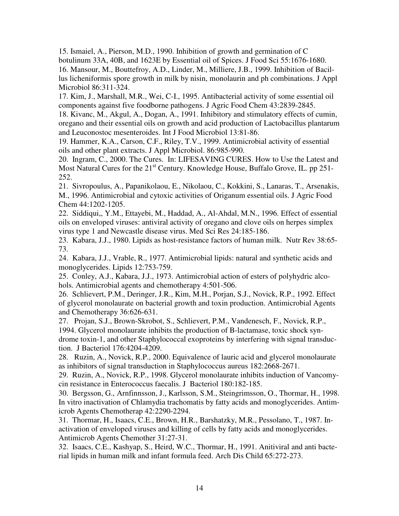15. Ismaiel, A., Pierson, M.D., 1990. Inhibition of growth and germination of C botulinum 33A, 40B, and 1623E by Essential oil of Spices. J Food Sci 55:1676-1680. 16. Mansour, M., Bouttefroy, A.D., Linder, M., Milliere, J.B., 1999. Inhibition of Bacillus licheniformis spore growth in milk by nisin, monolaurin and ph combinations. J Appl Microbiol 86:311-324.

17. Kim, J., Marshall, M.R., Wei, C-I., 1995. Antibacterial activity of some essential oil components against five foodborne pathogens. J Agric Food Chem 43:2839-2845.

18. Kivanc, M., Akgul, A., Dogan, A., 1991. Inhibitory and stimulatory effects of cumin, oregano and their essential oils on growth and acid production of Lactobacillus plantarum and Leuconostoc mesenteroides. Int J Food Microbiol 13:81-86.

19. Hammer, K.A., Carson, C.F., Riley, T.V., 1999. Antimicrobial activity of essential oils and other plant extracts. J Appl Microbiol. 86:985-990.

20. Ingram, C., 2000. The Cures. In: LIFESAVING CURES. How to Use the Latest and Most Natural Cures for the 21<sup>st</sup> Century. Knowledge House, Buffalo Grove, IL. pp 251-252.

21. Sivropoulus, A., Papanikolaou, E., Nikolaou, C., Kokkini, S., Lanaras, T., Arsenakis, M., 1996. Antimicrobial and cytoxic activities of Origanum essential oils. J Agric Food Chem 44:1202-1205.

22. Siddiqui,, Y.M., Ettayebi, M., Haddad, A., Al-Ahdal, M.N., 1996. Effect of essential oils on enveloped viruses: antiviral activity of oregano and clove oils on herpes simplex virus type 1 and Newcastle disease virus. Med Sci Res 24:185-186.

23. Kabara, J.J., 1980. Lipids as host-resistance factors of human milk. Nutr Rev 38:65- 73.

24. Kabara, J.J., Vrable, R., 1977. Antimicrobial lipids: natural and synthetic acids and monoglycerides. Lipids 12:753-759.

25. Conley, A.J., Kabara, J.J., 1973. Antimicrobial action of esters of polyhydric alcohols. Antimicrobial agents and chemotherapy 4:501-506.

26. Schlievert, P.M., Deringer, J.R., Kim, M.H., Porjan, S.J., Novick, R.P., 1992. Effect of glycerol monolaurate on bacterial growth and toxin production. Antimicrobial Agents and Chemotherapy 36:626-631.

27. Projan, S.J., Brown-Skrobot, S., Schlievert, P.M., Vandenesch, F., Novick, R.P., 1994. Glycerol monolaurate inhibits the production of B-lactamase, toxic shock syndrome toxin-1, and other Staphylococcal exoproteins by interfering with signal transduction. J Bacteriol 176:4204-4209.

28. Ruzin, A., Novick, R.P., 2000. Equivalence of lauric acid and glycerol monolaurate as inhibitors of signal transduction in Staphylococcus aureus 182:2668-2671.

29. Ruzin, A., Novick, R.P., 1998. Glycerol monolaurate inhibits induction of Vancomycin resistance in Enterococcus faecalis. J Bacteriol 180:182-185.

30. Bergsson, G., Arnfinnsson, J., Karlsson, S.M., Steingrimsson, O., Thormar, H., 1998. In vitro inactivation of Chlamydia trachomatis by fatty acids and monoglycerides. Antimicrob Agents Chemotherap 42:2290-2294.

31. Thormar, H., Isaacs, C.E., Brown, H.R., Barshatzky, M.R., Pessolano, T., 1987. Inactivation of enveloped viruses and killing of cells by fatty acids and monoglycerides. Antimicrob Agents Chemother 31:27-31.

32. Isaacs, C.E., Kashyap, S., Heird, W.C., Thormar, H., 1991. Anitiviral and anti bacterial lipids in human milk and infant formula feed. Arch Dis Child 65:272-273.